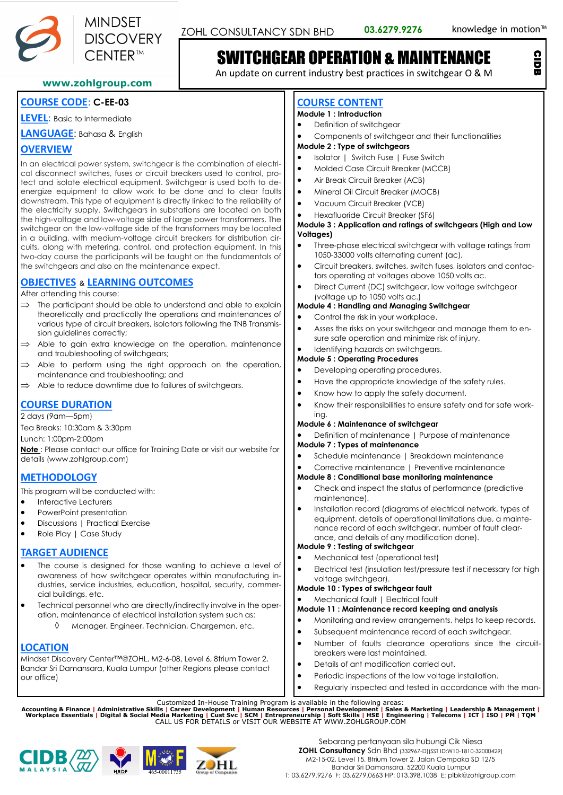

CIDB



# SWITCHGEAR OPERATION & MAINTENANCE

An update on current industry best practices in switchgear O & M

**www.zohlgroup.com**

# **COURSE CODE**: **C-EE-03**

**LEVEL**: Basic to Intermediate

**LANGUAGE**: Bahasa & English

# **OVERVIEW**

In an electrical power system, switchgear is the combination of electrical disconnect switches, fuses or circuit breakers used to control, protect and isolate electrical equipment. Switchgear is used both to deenergize equipment to allow work to be done and to clear faults downstream. This type of equipment is directly linked to the reliability of the electricity supply. Switchgears in substations are located on both the high-voltage and low-voltage side of large power transformers. The switchgear on the low-voltage side of the transformers may be located in a building, with medium-voltage circuit breakers for distribution circuits, along with metering, control, and protection equipment. In this two-day course the participants will be taught on the fundamentals of the switchgears and also on the maintenance expect.

# **OBJECTIVES** & **LEARNING OUTCOMES**

After attending this course:

- $\Rightarrow$  The participant should be able to understand and able to explain theoretically and practically the operations and maintenances of various type of circuit breakers, isolators following the TNB Transmission guidelines correctly;
- Able to gain extra knowledge on the operation, maintenance and troubleshooting of switchgears;
- Able to perform using the right approach on the operation, maintenance and troubleshooting; and
- $\Rightarrow$  Able to reduce downtime due to failures of switchgears.

# **COURSE DURATION**

2 days (9am—5pm)

Tea Breaks: 10:30am & 3:30pm

Lunch: 1:00pm-2:00pm

**Note** : Please contact our office for Training Date or visit our website for details (www.zohlgroup.com)

# **METHODOLOGY**

This program will be conducted with:

- Interactive Lecturers
- PowerPoint presentation
- Discussions | Practical Exercise
- Role Play | Case Study

## **TARGET AUDIENCE**

- The course is designed for those wanting to achieve a level of awareness of how switchgear operates within manufacturing industries, service industries, education, hospital, security, commercial buildings, etc.
- Technical personnel who are directly/indirectly involve in the operation, maintenance of electrical installation system such as:
	- Manager, Engineer, Technician, Chargeman, etc.

## **LOCATION**

Mindset Discovery Center™@ZOHL, M2-6-08, Level 6, 8trium Tower 2, Bandar Sri Damansara, Kuala Lumpur (other Regions please contact our office)

## **COURSE CONTENT**

## **Module 1 : Introduction**

- Definition of switchgear
- Components of switchgear and their functionalities

#### **Module 2 : Type of switchgears**

- Isolator | Switch Fuse | Fuse Switch
- Molded Case Circuit Breaker (MCCB)
- Air Break Circuit Breaker (ACB)
- Mineral Oil Circuit Breaker (MOCB)
- Vacuum Circuit Breaker (VCB)
- Hexafluoride Circuit Breaker (SF6)

#### **Module 3 : Application and ratings of switchgears (High and Low Voltages)**

- Three-phase electrical switchgear with voltage ratings from 1050-33000 volts alternating current (ac).
- Circuit breakers, switches, switch fuses, isolators and contactors operating at voltages above 1050 volts ac.
- Direct Current (DC) switchgear, low voltage switchgear (voltage up to 1050 volts ac.)

### **Module 4 : Handling and Managing Switchgear**

- Control the risk in your workplace.
- Asses the risks on your switchgear and manage them to ensure safe operation and minimize risk of injury.

#### Identifying hazards on switchgears. **Module 5 : Operating Procedures**

- Developing operating procedures.
- Have the appropriate knowledge of the safety rules.
- Know how to apply the safety document.
- Know their responsibilities to ensure safety and for safe working.

#### **Module 6 : Maintenance of switchgear**

• Definition of maintenance | Purpose of maintenance

#### **Module 7 : Types of maintenance**

- Schedule maintenance | Breakdown maintenance
- Corrective maintenance | Preventive maintenance

### **Module 8 : Conditional base monitoring maintenance**

- Check and inspect the status of performance (predictive maintenance).
- Installation record (diagrams of electrical network, types of equipment, details of operational limitations due, a maintenance record of each switchgear, number of fault clearance, and details of any modification done).

### **Module 9 : Testing of switchgear**

- Mechanical test (operational test)
- Electrical test (insulation test/pressure test if necessary for high voltage switchgear).

#### **Module 10 : Types of switchgear fault**

• Mechanical fault | Electrical fault

#### **Module 11 : Maintenance record keeping and analysis**

- Monitoring and review arrangements, helps to keep records.
- Subsequent maintenance record of each switchgear.
- Number of faults clearance operations since the circuitbreakers were last maintained.
- Details of ant modification carried out.
- Periodic inspections of the low voltage installation.
- Regularly inspected and tested in accordance with the man-

Customized In-House Training Program is available in the following areas:<br>Accounting & Finance | Administrative Skills | Career Development | Human Resources | Personal Development | Sales & Marketing | Leadership & Manage